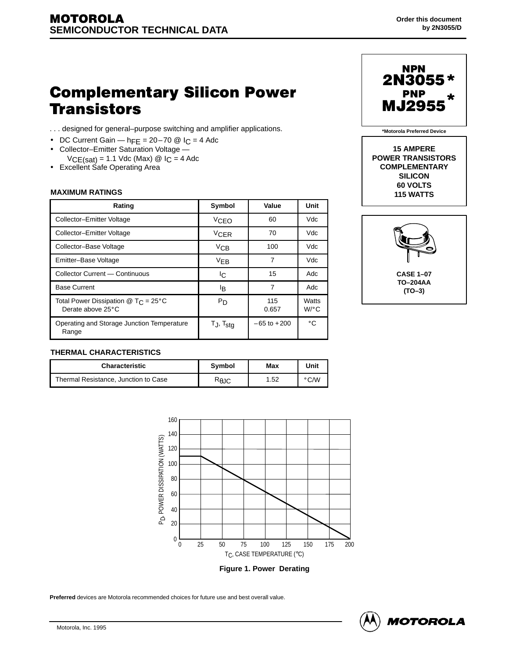# **Complementary Silicon Power Transistors**

- . . . designed for general–purpose switching and amplifier applications.
- DC Current Gain  $h_{\text{FE}} = 20 70$  @  $I_{\text{C}} = 4$  Adc
- Collector–Emitter Saturation Voltage  $VCE(sat) = 1.1$  Vdc (Max) @  $I_C = 4$  Adc
- Excellent Safe Operating Area

## **MAXIMUM RATINGS**

| Rating                                                                 | Symbol                   | Value           | <b>Unit</b>      |
|------------------------------------------------------------------------|--------------------------|-----------------|------------------|
| Collector-Emitter Voltage                                              | <b>VCEO</b>              | 60              | Vdc              |
| Collector-Emitter Voltage                                              | <b>VCER</b>              | 70              | Vdc              |
| Collector-Base Voltage                                                 | VCB                      | 100             | Vdc              |
| Emitter-Base Voltage                                                   | V <sub>EB</sub>          | 7               | Vdc              |
| Collector Current - Continuous                                         | IC.                      | 15              | Adc              |
| <b>Base Current</b>                                                    | l <sub>B</sub>           | 7               | Adc              |
| Total Power Dissipation $@$ T <sub>C</sub> = 25°C<br>Derate above 25°C | $P_{D}$                  | 115<br>0.657    | Watts<br>$W$ /°C |
| Operating and Storage Junction Temperature<br>Range                    | $T_J$ , $T_{\text{stg}}$ | $-65$ to $+200$ | $^{\circ}$ C     |



**\*Motorola Preferred Device**

**15 AMPERE POWER TRANSISTORS COMPLEMENTARY SILICON 60 VOLTS 115 WATTS**



# **THERMAL CHARACTERISTICS**

| <b>Characteristic</b>                | Symbol         | Max  | Unit       |
|--------------------------------------|----------------|------|------------|
| Thermal Resistance, Junction to Case | $R_{\theta$ JC | 1.52 | <b>C/W</b> |



**Figure 1. Power Derating**

**Preferred** devices are Motorola recommended choices for future use and best overall value.

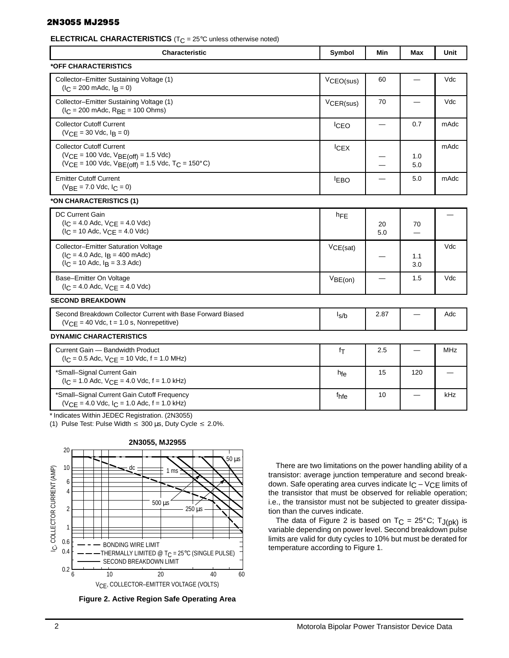# 2N3055 MJ2955

**ELECTRICAL CHARACTERISTICS** (T<sub>C</sub> = 25°C unless otherwise noted)

| Characteristic                                                                                                                               | Symbol           | Min                             | Max                            | Unit                     |
|----------------------------------------------------------------------------------------------------------------------------------------------|------------------|---------------------------------|--------------------------------|--------------------------|
| *OFF CHARACTERISTICS                                                                                                                         |                  |                                 |                                |                          |
| Collector-Emitter Sustaining Voltage (1)<br>$(I_C = 200 \text{ m}$ Adc, $I_B = 0$ )                                                          | VCEO(sus)        | 60                              | $\overline{\phantom{0}}$       | Vdc                      |
| Collector-Emitter Sustaining Voltage (1)<br>$(I_C = 200 \text{ m}$ Adc, $R_{BE} = 100 \text{ Ohms}$ )                                        | VCER(sus)        | 70                              | $\overbrace{\phantom{13333}}$  | Vdc                      |
| <b>Collector Cutoff Current</b><br>$(V_{CE} = 30$ Vdc, $I_B = 0$ )                                                                           | <b>ICEO</b>      | $\equiv$                        | 0.7                            | mAdc                     |
| <b>Collector Cutoff Current</b><br>$(VCE = 100$ Vdc, $VBE(off) = 1.5$ Vdc)<br>$(VCE = 100$ Vdc, $VBE(off) = 1.5$ Vdc, $T_C = 150^{\circ}C$ ) | ICEX             | -                               | 1.0<br>5.0                     | mAdc                     |
| <b>Emitter Cutoff Current</b><br>$(V_{BE} = 7.0$ Vdc, $I_C = 0)$                                                                             | <b>IEBO</b>      | $\hspace{0.05cm}$               | 5.0                            | mAdc                     |
| *ON CHARACTERISTICS (1)                                                                                                                      |                  |                                 |                                |                          |
| DC Current Gain<br>$(I_C = 4.0$ Adc, $V_{CE} = 4.0$ Vdc)<br>$(I_C = 10$ Adc, $V_{CE} = 4.0$ Vdc)                                             | hFE              | 20<br>5.0                       | 70<br>$\overline{\phantom{0}}$ | $\overline{\phantom{0}}$ |
| Collector-Emitter Saturation Voltage<br>$(I_C = 4.0$ Adc, $I_B = 400$ mAdc)<br>$(I_C = 10$ Adc, $I_B = 3.3$ Adc)                             | VCE(sat)         | $\qquad \qquad$                 | 1.1<br>3.0                     | Vdc                      |
| Base-Emitter On Voltage<br>$(I_C = 4.0$ Adc, $V_{CE} = 4.0$ Vdc)                                                                             | VBE(on)          | $\hspace{0.1mm}-\hspace{0.1mm}$ | 1.5                            | Vdc                      |
| <b>SECOND BREAKDOWN</b>                                                                                                                      |                  |                                 |                                |                          |
| Second Breakdown Collector Current with Base Forward Biased<br>$(VCE = 40$ Vdc, $t = 1.0$ s, Nonrepetitive)                                  | $I_{S/b}$        | 2.87                            | $\hspace{0.05cm}$              | Adc                      |
| <b>DYNAMIC CHARACTERISTICS</b>                                                                                                               |                  |                                 |                                |                          |
| Current Gain - Bandwidth Product<br>$(I_C = 0.5$ Adc, $V_{CE} = 10$ Vdc, $f = 1.0$ MHz)                                                      | $f_{\mathsf{T}}$ | 2.5                             |                                | MHz                      |
| *Small-Signal Current Gain<br>$(I_C = 1.0$ Adc, $V_{CE} = 4.0$ Vdc, $f = 1.0$ kHz)                                                           | $h_{fe}$         | 15                              | 120                            | $\qquad \qquad -$        |
| *Small-Signal Current Gain Cutoff Frequency<br>$(VCE = 4.0$ Vdc, $IC = 1.0$ Adc, $f = 1.0$ kHz)                                              | fhfe             | 10                              | —                              | kHz                      |

,一个人的人都是一个人的人,但是,我们的人都是不是,我们的人都是不是,我们的人都是不是,我们的人都是不是,我们的人都是不是,我们的人都是不是,我们的人都是不是,

\* Indicates Within JEDEC Registration. (2N3055)

(1) Pulse Test: Pulse Width  $\leq 300 \,\mu s$ , Duty Cycle  $\leq 2.0\%$ .



**Figure 2. Active Region Safe Operating Area**

There are two limitations on the power handling ability of a transistor: average junction temperature and second breakdown. Safe operating area curves indicate  $IC - VCE$  limits of the transistor that must be observed for reliable operation; i.e., the transistor must not be subjected to greater dissipation than the curves indicate.

 

 

the contract of the contract of the contract of the contract of the contract of the contract of the contract of

the contract of the contract of the contract of the contract of the contract of the contract of the contract of

The data of Figure 2 is based on  $T_C = 25^{\circ}C$ ;  $T_{J(pk)}$  is variable depending on power level. Second breakdown pulse limits are valid for duty cycles to 10% but must be derated for temperature according to Figure 1.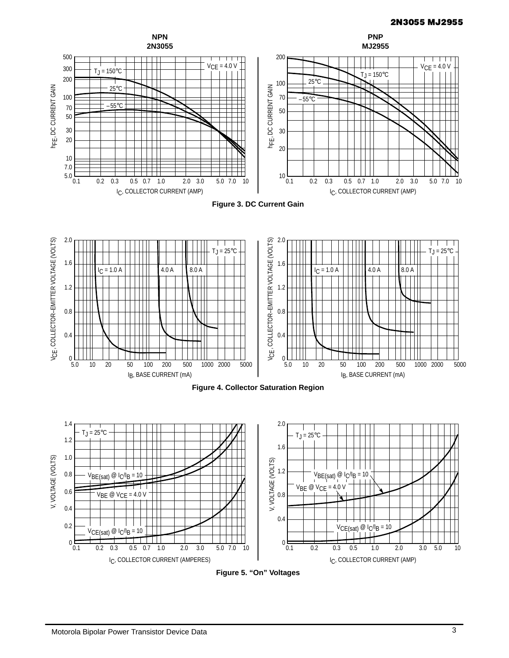